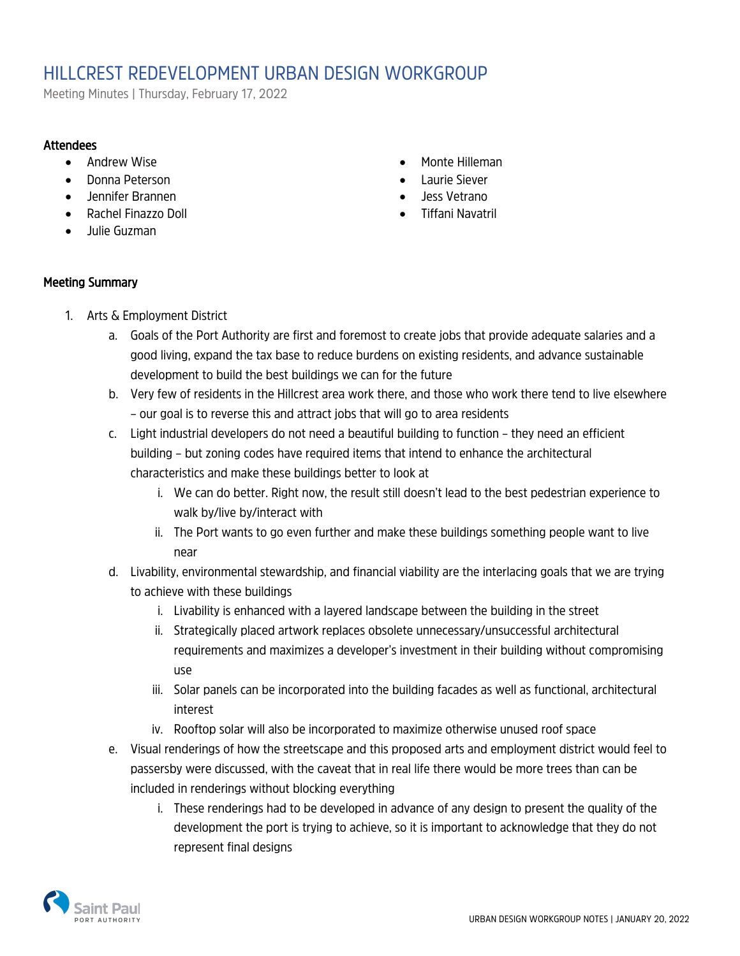# HILLCREST REDEVELOPMENT URBAN DESIGN WORKGROUP

Meeting Minutes | Thursday, February 17, 2022

#### **Attendees**

- Andrew Wise
- Donna Peterson
- Jennifer Brannen
- Rachel Finazzo Doll
- Julie Guzman
- Monte Hilleman
- Laurie Siever
- Jess Vetrano
- Tiffani Navatril

#### Meeting Summary

- 1. Arts & Employment District
	- a. Goals of the Port Authority are first and foremost to create jobs that provide adequate salaries and a good living, expand the tax base to reduce burdens on existing residents, and advance sustainable development to build the best buildings we can for the future
	- b. Very few of residents in the Hillcrest area work there, and those who work there tend to live elsewhere – our goal is to reverse this and attract jobs that will go to area residents
	- c. Light industrial developers do not need a beautiful building to function they need an efficient building – but zoning codes have required items that intend to enhance the architectural characteristics and make these buildings better to look at
		- i. We can do better. Right now, the result still doesn't lead to the best pedestrian experience to walk by/live by/interact with
		- ii. The Port wants to go even further and make these buildings something people want to live near
	- d. Livability, environmental stewardship, and financial viability are the interlacing goals that we are trying to achieve with these buildings
		- i. Livability is enhanced with a layered landscape between the building in the street
		- ii. Strategically placed artwork replaces obsolete unnecessary/unsuccessful architectural requirements and maximizes a developer's investment in their building without compromising use
		- iii. Solar panels can be incorporated into the building facades as well as functional, architectural interest
		- iv. Rooftop solar will also be incorporated to maximize otherwise unused roof space
	- e. Visual renderings of how the streetscape and this proposed arts and employment district would feel to passersby were discussed, with the caveat that in real life there would be more trees than can be included in renderings without blocking everything
		- i. These renderings had to be developed in advance of any design to present the quality of the development the port is trying to achieve, so it is important to acknowledge that they do not represent final designs

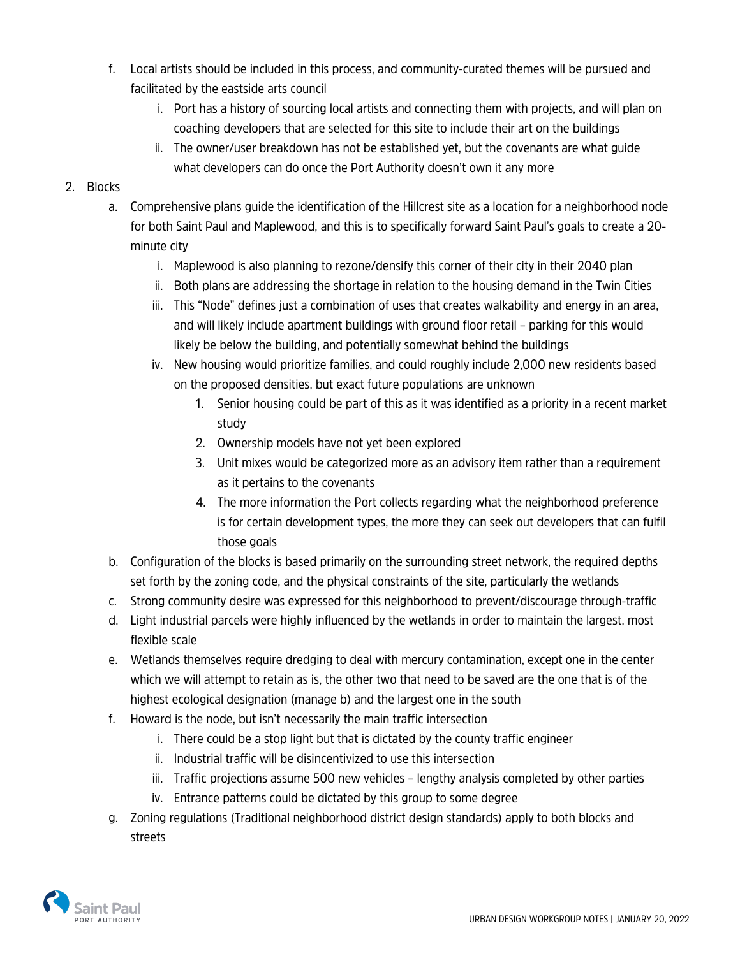- f. Local artists should be included in this process, and community-curated themes will be pursued and facilitated by the eastside arts council
	- i. Port has a history of sourcing local artists and connecting them with projects, and will plan on coaching developers that are selected for this site to include their art on the buildings
	- ii. The owner/user breakdown has not be established yet, but the covenants are what guide what developers can do once the Port Authority doesn't own it any more

### 2. Blocks

- a. Comprehensive plans guide the identification of the Hillcrest site as a location for a neighborhood node for both Saint Paul and Maplewood, and this is to specifically forward Saint Paul's goals to create a 20 minute city
	- i. Maplewood is also planning to rezone/densify this corner of their city in their 2040 plan
	- ii. Both plans are addressing the shortage in relation to the housing demand in the Twin Cities
	- iii. This "Node" defines just a combination of uses that creates walkability and energy in an area, and will likely include apartment buildings with ground floor retail – parking for this would likely be below the building, and potentially somewhat behind the buildings
	- iv. New housing would prioritize families, and could roughly include 2,000 new residents based on the proposed densities, but exact future populations are unknown
		- 1. Senior housing could be part of this as it was identified as a priority in a recent market study
		- 2. Ownership models have not yet been explored
		- 3. Unit mixes would be categorized more as an advisory item rather than a requirement as it pertains to the covenants
		- 4. The more information the Port collects regarding what the neighborhood preference is for certain development types, the more they can seek out developers that can fulfil those goals
- b. Configuration of the blocks is based primarily on the surrounding street network, the required depths set forth by the zoning code, and the physical constraints of the site, particularly the wetlands
- c. Strong community desire was expressed for this neighborhood to prevent/discourage through-traffic
- d. Light industrial parcels were highly influenced by the wetlands in order to maintain the largest, most flexible scale
- e. Wetlands themselves require dredging to deal with mercury contamination, except one in the center which we will attempt to retain as is, the other two that need to be saved are the one that is of the highest ecological designation (manage b) and the largest one in the south
- f. Howard is the node, but isn't necessarily the main traffic intersection
	- i. There could be a stop light but that is dictated by the county traffic engineer
	- ii. Industrial traffic will be disincentivized to use this intersection
	- iii. Traffic projections assume 500 new vehicles lengthy analysis completed by other parties
	- iv. Entrance patterns could be dictated by this group to some degree
- g. Zoning regulations (Traditional neighborhood district design standards) apply to both blocks and streets

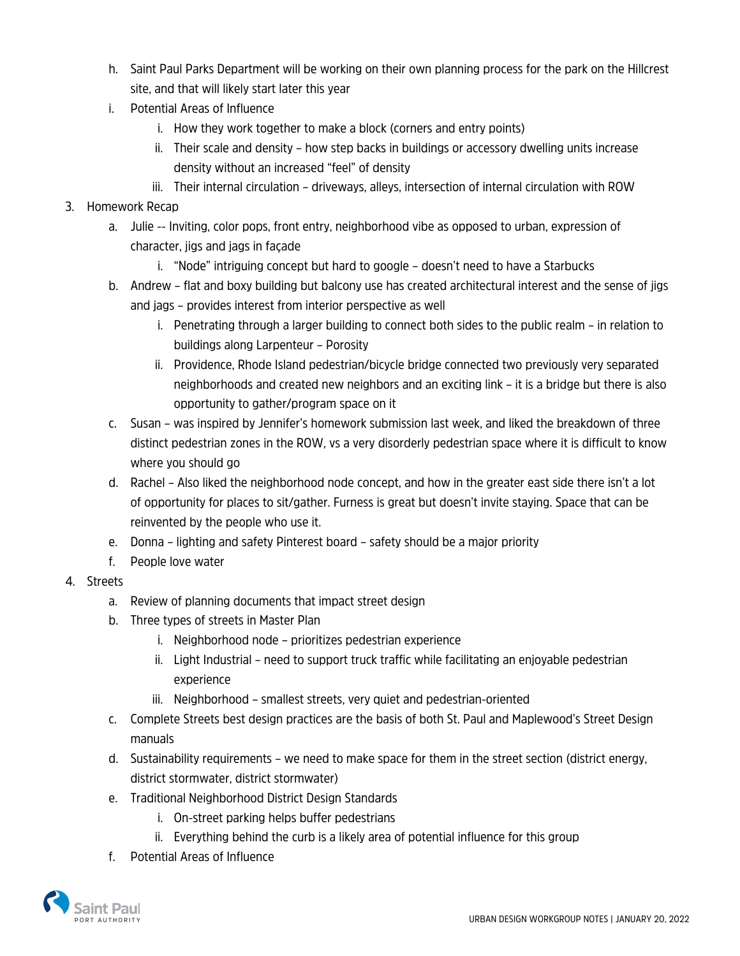- h. Saint Paul Parks Department will be working on their own planning process for the park on the Hillcrest site, and that will likely start later this year
- i. Potential Areas of Influence
	- i. How they work together to make a block (corners and entry points)
	- ii. Their scale and density how step backs in buildings or accessory dwelling units increase density without an increased "feel" of density
	- iii. Their internal circulation driveways, alleys, intersection of internal circulation with ROW

## 3. Homework Recap

- a. Julie -- Inviting, color pops, front entry, neighborhood vibe as opposed to urban, expression of character, jigs and jags in façade
	- i. "Node" intriguing concept but hard to google doesn't need to have a Starbucks
- b. Andrew flat and boxy building but balcony use has created architectural interest and the sense of jigs and jags – provides interest from interior perspective as well
	- i. Penetrating through a larger building to connect both sides to the public realm in relation to buildings along Larpenteur – Porosity
	- ii. Providence, Rhode Island pedestrian/bicycle bridge connected two previously very separated neighborhoods and created new neighbors and an exciting link – it is a bridge but there is also opportunity to gather/program space on it
- c. Susan was inspired by Jennifer's homework submission last week, and liked the breakdown of three distinct pedestrian zones in the ROW, vs a very disorderly pedestrian space where it is difficult to know where you should go
- d. Rachel Also liked the neighborhood node concept, and how in the greater east side there isn't a lot of opportunity for places to sit/gather. Furness is great but doesn't invite staying. Space that can be reinvented by the people who use it.
- e. Donna lighting and safety Pinterest board safety should be a major priority
- f. People love water
- 4. Streets
	- a. Review of planning documents that impact street design
	- b. Three types of streets in Master Plan
		- i. Neighborhood node prioritizes pedestrian experience
		- ii. Light Industrial need to support truck traffic while facilitating an enjoyable pedestrian experience
		- iii. Neighborhood smallest streets, very quiet and pedestrian-oriented
	- c. Complete Streets best design practices are the basis of both St. Paul and Maplewood's Street Design manuals
	- d. Sustainability requirements we need to make space for them in the street section (district energy, district stormwater, district stormwater)
	- e. Traditional Neighborhood District Design Standards
		- i. On-street parking helps buffer pedestrians
		- ii. Everything behind the curb is a likely area of potential influence for this group
	- f. Potential Areas of Influence